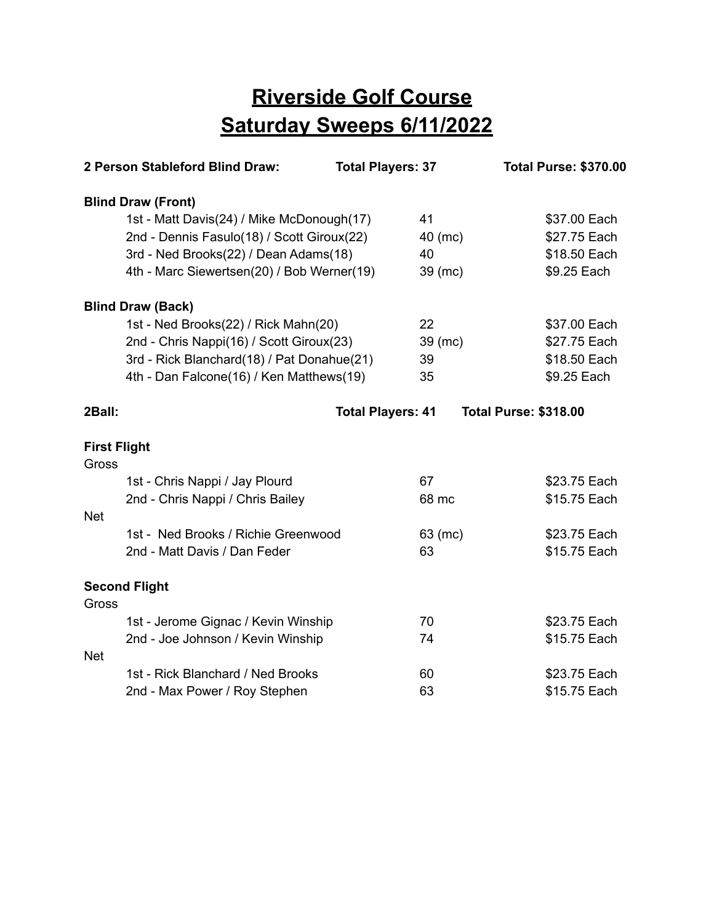## **Riverside Golf Course Saturday Sweeps 6/11/2022**

| 2 Person Stableford Blind Draw:            |                                            | <b>Total Players: 37</b> | <b>Total Purse: \$370.00</b> |
|--------------------------------------------|--------------------------------------------|--------------------------|------------------------------|
| <b>Blind Draw (Front)</b>                  |                                            |                          |                              |
|                                            | 1st - Matt Davis(24) / Mike McDonough(17)  |                          | \$37.00 Each                 |
| 2nd - Dennis Fasulo(18) / Scott Giroux(22) |                                            | 40 (mc)                  | \$27.75 Each                 |
| 3rd - Ned Brooks(22) / Dean Adams(18)      |                                            | 40                       | \$18.50 Each                 |
|                                            | 4th - Marc Siewertsen(20) / Bob Werner(19) | $39$ (mc)                | \$9.25 Each                  |
| <b>Blind Draw (Back)</b>                   |                                            |                          |                              |
| 1st - Ned Brooks(22) / Rick Mahn(20)       |                                            | 22                       | \$37.00 Each                 |
| 2nd - Chris Nappi(16) / Scott Giroux(23)   |                                            | 39 (mc)                  | \$27.75 Each                 |
|                                            | 3rd - Rick Blanchard(18) / Pat Donahue(21) | 39                       | \$18.50 Each                 |
| 4th - Dan Falcone(16) / Ken Matthews(19)   |                                            | 35                       | \$9.25 Each                  |
| 2Ball:                                     |                                            | <b>Total Players: 41</b> | <b>Total Purse: \$318.00</b> |
| <b>First Flight</b><br>Gross               |                                            |                          |                              |
| 1st - Chris Nappi / Jay Plourd             |                                            | 67                       | \$23.75 Each                 |
| 2nd - Chris Nappi / Chris Bailey           |                                            | 68 mc                    | \$15.75 Each                 |
| <b>Net</b>                                 |                                            |                          |                              |
| 1st - Ned Brooks / Richie Greenwood        |                                            | 63 (mc)                  | \$23.75 Each                 |
| 2nd - Matt Davis / Dan Feder               |                                            | 63                       | \$15.75 Each                 |
| <b>Second Flight</b><br>Gross              |                                            |                          |                              |
| 1st - Jerome Gignac / Kevin Winship        |                                            | 70                       | \$23.75 Each                 |
| 2nd - Joe Johnson / Kevin Winship          |                                            | 74                       | \$15.75 Each                 |
| <b>Net</b>                                 |                                            |                          |                              |
| 1st - Rick Blanchard / Ned Brooks          |                                            | 60                       | \$23.75 Each                 |
| 2nd - Max Power / Roy Stephen              |                                            | 63                       | \$15.75 Each                 |